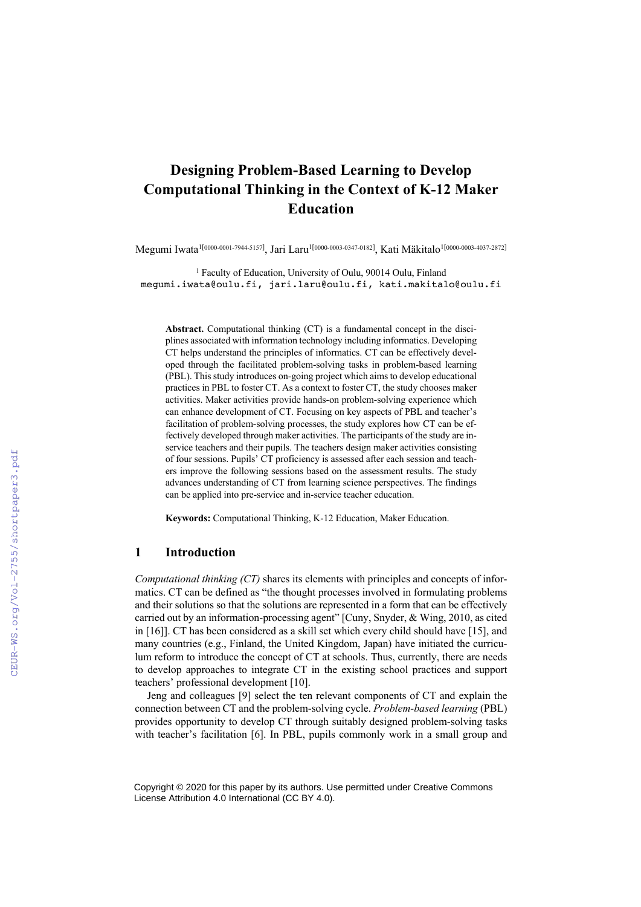# **Designing Problem-Based Learning to Develop Computational Thinking in the Context of K-12 Maker Education**

Megumi Iwata<sup>1[0000-0001-7944-5157]</sup>, Jari Laru<sup>1[0000-0003-0347-0182], Kati Mäkitalo<sup>1[0000-0003-4037-2872]</sup></sup>

<sup>1</sup> Faculty of Education, University of Oulu, 90014 Oulu, Finland megumi.iwata@oulu.fi, jari.laru@oulu.fi, kati.makitalo@oulu.fi

**Abstract.** Computational thinking (CT) is a fundamental concept in the disciplines associated with information technology including informatics. Developing CT helps understand the principles of informatics. CT can be effectively developed through the facilitated problem-solving tasks in problem-based learning (PBL). This study introduces on-going project which aims to develop educational practices in PBL to foster CT. As a context to foster CT, the study chooses maker activities. Maker activities provide hands-on problem-solving experience which can enhance development of CT. Focusing on key aspects of PBL and teacher's facilitation of problem-solving processes, the study explores how CT can be effectively developed through maker activities. The participants of the study are inservice teachers and their pupils. The teachers design maker activities consisting of four sessions. Pupils' CT proficiency is assessed after each session and teachers improve the following sessions based on the assessment results. The study advances understanding of CT from learning science perspectives. The findings can be applied into pre-service and in-service teacher education.

**Keywords:** Computational Thinking, K-12 Education, Maker Education.

### **1 Introduction**

*Computational thinking (CT)* shares its elements with principles and concepts of informatics. CT can be defined as "the thought processes involved in formulating problems and their solutions so that the solutions are represented in a form that can be effectively carried out by an information-processing agent" [Cuny, Snyder, & Wing, 2010, as cited in [16]]. CT has been considered as a skill set which every child should have [15], and many countries (e.g., Finland, the United Kingdom, Japan) have initiated the curriculum reform to introduce the concept of CT at schools. Thus, currently, there are needs to develop approaches to integrate CT in the existing school practices and support teachers' professional development [10].

Jeng and colleagues [9] select the ten relevant components of CT and explain the connection between CT and the problem-solving cycle. *Problem-based learning* (PBL) provides opportunity to develop CT through suitably designed problem-solving tasks with teacher's facilitation [6]. In PBL, pupils commonly work in a small group and

Copyright © 2020 for this paper by its authors. Use permitted under Creative Commons License Attribution 4.0 International (CC BY 4.0).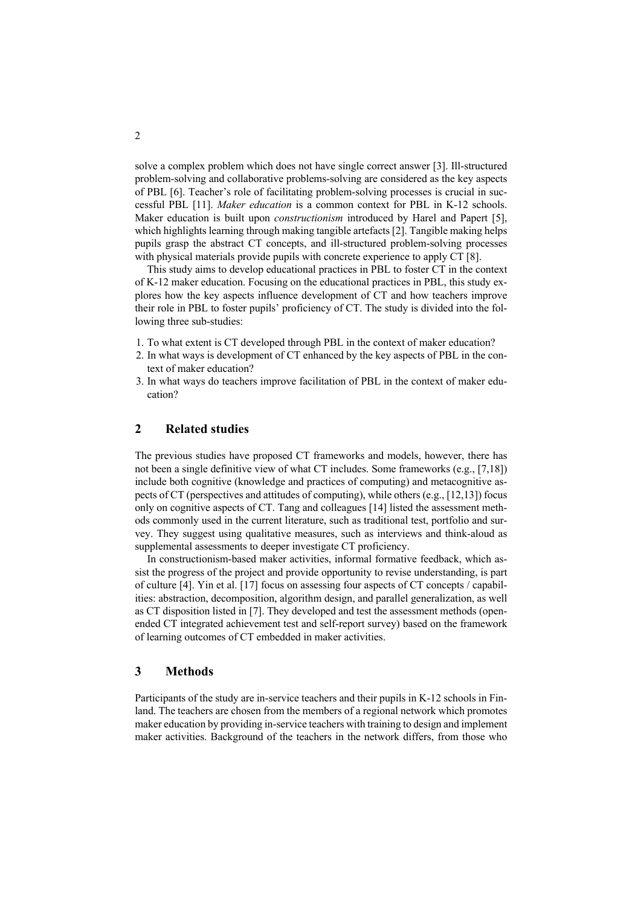solve a complex problem which does not have single correct answer [3]. Ill-structured problem-solving and collaborative problems-solving are considered as the key aspects of PBL [6]. Teacher's role of facilitating problem-solving processes is crucial in successful PBL [11]. *Maker education* is a common context for PBL in K-12 schools. Maker education is built upon *constructionism* introduced by Harel and Papert [5], which highlights learning through making tangible artefacts [2]. Tangible making helps pupils grasp the abstract CT concepts, and ill-structured problem-solving processes with physical materials provide pupils with concrete experience to apply CT [8].

This study aims to develop educational practices in PBL to foster CT in the context of K-12 maker education. Focusing on the educational practices in PBL, this study explores how the key aspects influence development of CT and how teachers improve their role in PBL to foster pupils' proficiency of CT. The study is divided into the following three sub-studies:

- 1. To what extent is CT developed through PBL in the context of maker education?
- 2. In what ways is development of CT enhanced by the key aspects of PBL in the context of maker education?
- 3. In what ways do teachers improve facilitation of PBL in the context of maker education?

## **2 Related studies**

The previous studies have proposed CT frameworks and models, however, there has not been a single definitive view of what CT includes. Some frameworks (e.g., [7,18]) include both cognitive (knowledge and practices of computing) and metacognitive aspects of CT (perspectives and attitudes of computing), while others  $(e.g., [12,13])$  focus only on cognitive aspects of CT. Tang and colleagues [14] listed the assessment methods commonly used in the current literature, such as traditional test, portfolio and survey. They suggest using qualitative measures, such as interviews and think-aloud as supplemental assessments to deeper investigate CT proficiency.

In constructionism-based maker activities, informal formative feedback, which assist the progress of the project and provide opportunity to revise understanding, is part of culture [4]. Yin et al. [17] focus on assessing four aspects of CT concepts / capabilities: abstraction, decomposition, algorithm design, and parallel generalization, as well as CT disposition listed in [7]. They developed and test the assessment methods (openended CT integrated achievement test and self-report survey) based on the framework of learning outcomes of CT embedded in maker activities.

# **3 Methods**

Participants of the study are in-service teachers and their pupils in K-12 schools in Finland. The teachers are chosen from the members of a regional network which promotes maker education by providing in-service teachers with training to design and implement maker activities. Background of the teachers in the network differs, from those who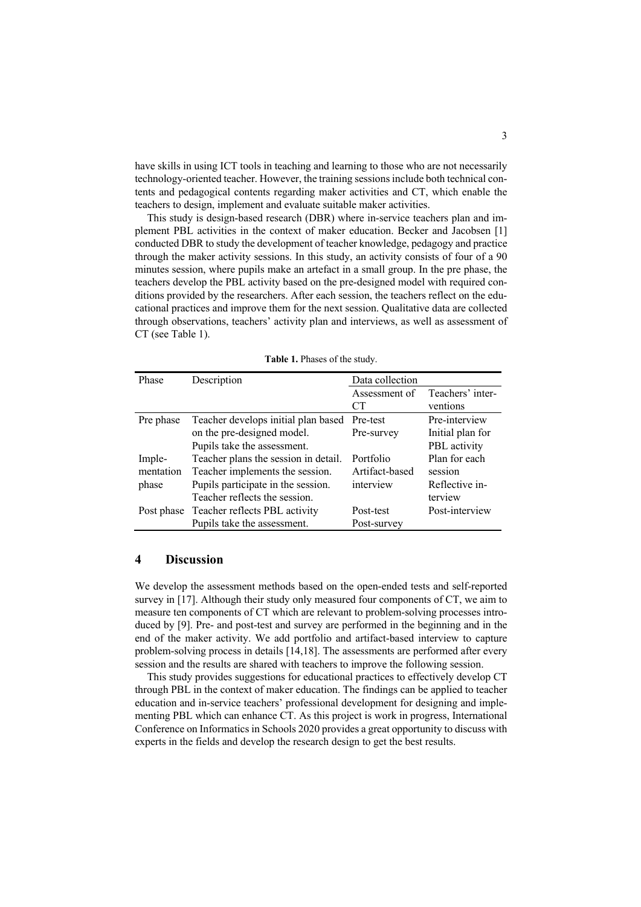have skills in using ICT tools in teaching and learning to those who are not necessarily technology-oriented teacher. However, the training sessions include both technical contents and pedagogical contents regarding maker activities and CT, which enable the teachers to design, implement and evaluate suitable maker activities.

This study is design-based research (DBR) where in-service teachers plan and implement PBL activities in the context of maker education. Becker and Jacobsen [1] conducted DBR to study the development of teacher knowledge, pedagogy and practice through the maker activity sessions. In this study, an activity consists of four of a 90 minutes session, where pupils make an artefact in a small group. In the pre phase, the teachers develop the PBL activity based on the pre-designed model with required conditions provided by the researchers. After each session, the teachers reflect on the educational practices and improve them for the next session. Qualitative data are collected through observations, teachers' activity plan and interviews, as well as assessment of CT (see Table 1).

| Phase     | Description                              | Data collection |                  |
|-----------|------------------------------------------|-----------------|------------------|
|           |                                          | Assessment of   | Teachers' inter- |
|           |                                          | CT              | ventions         |
| Pre phase | Teacher develops initial plan based      | Pre-test        | Pre-interview    |
|           | on the pre-designed model.               | Pre-survey      | Initial plan for |
|           | Pupils take the assessment.              |                 | PBL activity     |
| Imple-    | Teacher plans the session in detail.     | Portfolio       | Plan for each    |
| mentation | Teacher implements the session.          | Artifact-based  | session          |
| phase     | Pupils participate in the session.       | interview       | Reflective in-   |
|           | Teacher reflects the session.            |                 | terview          |
|           | Post phase Teacher reflects PBL activity | Post-test       | Post-interview   |
|           | Pupils take the assessment.              | Post-survey     |                  |

**Table 1.** Phases of the study.

#### **4 Discussion**

We develop the assessment methods based on the open-ended tests and self-reported survey in [17]. Although their study only measured four components of CT, we aim to measure ten components of CT which are relevant to problem-solving processes introduced by [9]. Pre- and post-test and survey are performed in the beginning and in the end of the maker activity. We add portfolio and artifact-based interview to capture problem-solving process in details [14,18]. The assessments are performed after every session and the results are shared with teachers to improve the following session.

This study provides suggestions for educational practices to effectively develop CT through PBL in the context of maker education. The findings can be applied to teacher education and in-service teachers' professional development for designing and implementing PBL which can enhance CT. As this project is work in progress, International Conference on Informatics in Schools 2020 provides a great opportunity to discuss with experts in the fields and develop the research design to get the best results.